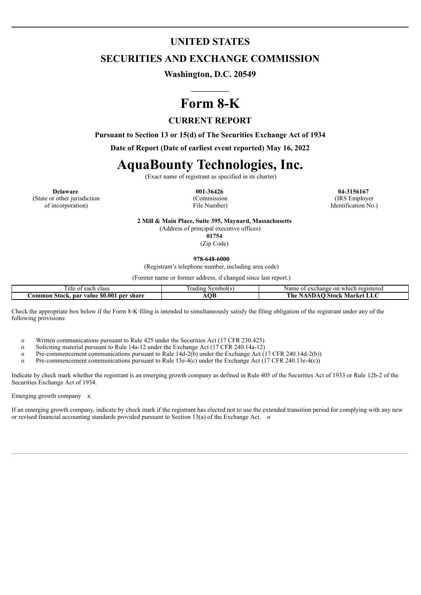# **UNITED STATES**

# **SECURITIES AND EXCHANGE COMMISSION**

**Washington, D.C. 20549**

# **Form 8-K**

# **CURRENT REPORT**

**Pursuant to Section 13 or 15(d) of The Securities Exchange Act of 1934**

**Date of Report (Date of earliest event reported) May 16, 2022**

# **AquaBounty Technologies, Inc.**

(Exact name of registrant as specified in its charter)

**Delaware 001-36426 04-3156167** (State or other jurisdiction of incorporation)

(Commission File Number)

(IRS Employer Identification No.)

**2 Mill & Main Place, Suite 395, Maynard, Massachusetts**

(Address of principal executive offices) **01754**

(Zip Code)

**978-648-6000**

(Registrant's telephone number, including area code)

(Former name or former address, if changed since last report.)

| each class *<br>1tle<br>$\sim$<br>,,,                        | Symbol(s)<br>radıng | registered<br>exchange<br>$\sim$<br>Name<br>which<br>OП<br>$\cdot$ . |
|--------------------------------------------------------------|---------------------|----------------------------------------------------------------------|
| \$0.001<br>ner<br>share<br>Aommon<br>Stock<br>. par<br>value | Դե                  | ⊸stock ™<br>Market<br>r ne<br>LL<br>11711                            |

Check the appropriate box below if the Form 8-K filing is intended to simultaneously satisfy the filing obligation of the registrant under any of the following provisions:

o Written communications pursuant to Rule 425 under the Securities Act (17 CFR 230.425)

Soliciting material pursuant to Rule 14a-12 under the Exchange Act (17 CFR 240.14a-12)

o Pre-commencement communications pursuant to Rule 14d-2(b) under the Exchange Act (17 CFR 240.14d-2(b))

o Pre-commencement communications pursuant to Rule 13e-4(c) under the Exchange Act (17 CFR 240.13e-4(c))

Indicate by check mark whether the registrant is an emerging growth company as defined in Rule 405 of the Securities Act of 1933 or Rule 12b-2 of the Securities Exchange Act of 1934.

Emerging growth company x

If an emerging growth company, indicate by check mark if the registrant has elected not to use the extended transition period for complying with any new or revised financial accounting standards provided pursuant to Section 13(a) of the Exchange Act.  $\circ$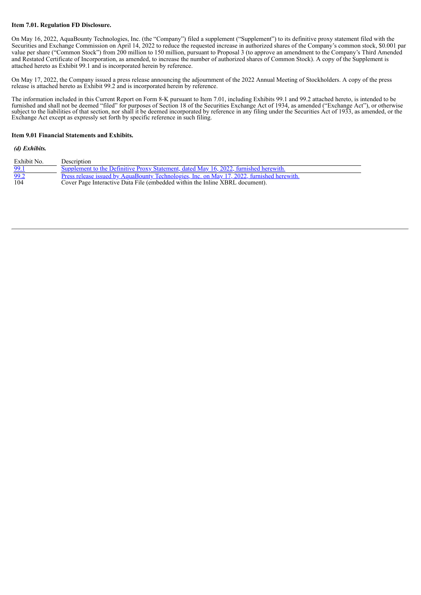#### **Item 7.01. Regulation FD Disclosure.**

On May 16, 2022, AquaBounty Technologies, Inc. (the "Company") filed a supplement ("Supplement") to its definitive proxy statement filed with the Securities and Exchange Commission on April 14, 2022 to reduce the requested increase in authorized shares of the Company's common stock, \$0.001 par value per share ("Common Stock") from 200 million to 150 million, pursuant to Proposal 3 (to approve an amendment to the Company's Third Amended and Restated Certificate of Incorporation, as amended, to increase the number of authorized shares of Common Stock). A copy of the Supplement is attached hereto as Exhibit 99.1 and is incorporated herein by reference.

On May 17, 2022, the Company issued a press release announcing the adjournment of the 2022 Annual Meeting of Stockholders. A copy of the press release is attached hereto as Exhibit 99.2 and is incorporated herein by reference.

The information included in this Current Report on Form 8-K pursuant to Item 7.01, including Exhibits 99.1 and 99.2 attached hereto, is intended to be furnished and shall not be deemed "filed" for purposes of Section 18 of the Securities Exchange Act of 1934, as amended ("Exchange Act"), or otherwise subject to the liabilities of that section, nor shall it be deemed incorporated by reference in any filing under the Securities Act of 1933, as amended, or the Exchange Act except as expressly set forth by specific reference in such filing.

#### **Item 9.01 Financial Statements and Exhibits.**

#### *(d) Exhibits.*

| Exhibit No. | Description                                                                                |
|-------------|--------------------------------------------------------------------------------------------|
| 99.1        | Supplement to the Definitive Proxy Statement, dated May 16, 2022, furnished herewith.      |
| 99.2        | Press release issued by AquaBounty Technologies, Inc. on May 17, 2022, furnished herewith. |
| 104         | Cover Page Interactive Data File (embedded within the Inline XBRL document).               |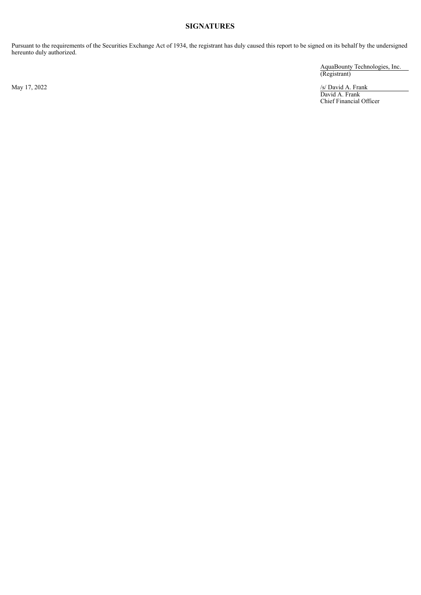# **SIGNATURES**

Pursuant to the requirements of the Securities Exchange Act of 1934, the registrant has duly caused this report to be signed on its behalf by the undersigned hereunto duly authorized.

AquaBounty Technologies, Inc. (Registrant)

May 17, 2022 /s/ David A. Frank David A. Frank Chief Financial Officer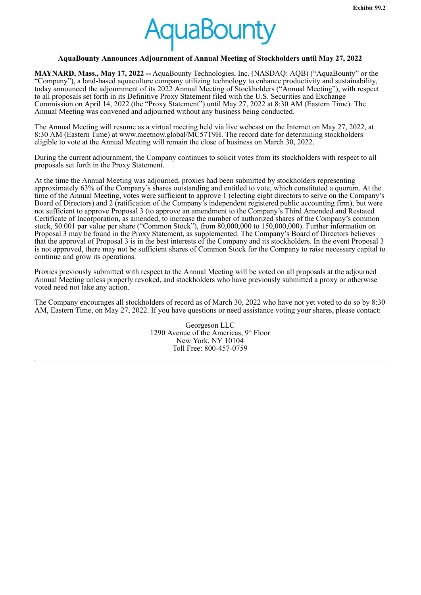

### <span id="page-3-0"></span>**AquaBounty Announces Adjournment of Annual Meeting of Stockholders until May 27, 2022**

**MAYNARD, Mass., May 17, 2022 --** AquaBounty Technologies, Inc. (NASDAQ: AQB) ("AquaBounty" or the "Company"), a land-based aquaculture company utilizing technology to enhance productivity and sustainability, today announced the adjournment of its 2022 Annual Meeting of Stockholders ("Annual Meeting"), with respect to all proposals set forth in its Definitive Proxy Statement filed with the U.S. Securities and Exchange Commission on April 14, 2022 (the "Proxy Statement") until May 27, 2022 at 8:30 AM (Eastern Time). The Annual Meeting was convened and adjourned without any business being conducted.

The Annual Meeting will resume as a virtual meeting held via live webcast on the Internet on May 27, 2022, at 8:30 AM (Eastern Time) at www.meetnow.global/MC57T9H. The record date for determining stockholders eligible to vote at the Annual Meeting will remain the close of business on March 30, 2022.

During the current adjournment, the Company continues to solicit votes from its stockholders with respect to all proposals set forth in the Proxy Statement.

At the time the Annual Meeting was adjourned, proxies had been submitted by stockholders representing approximately 63% of the Company's shares outstanding and entitled to vote, which constituted a quorum. At the time of the Annual Meeting, votes were sufficient to approve 1 (electing eight directors to serve on the Company's Board of Directors) and 2 (ratification of the Company's independent registered public accounting firm), but were not sufficient to approve Proposal 3 (to approve an amendment to the Company's Third Amended and Restated Certificate of Incorporation, as amended, to increase the number of authorized shares of the Company's common stock, \$0.001 par value per share ("Common Stock"), from 80,000,000 to 150,000,000). Further information on Proposal 3 may be found in the Proxy Statement, as supplemented. The Company's Board of Directors believes that the approval of Proposal 3 is in the best interests of the Company and its stockholders. In the event Proposal 3 is not approved, there may not be sufficient shares of Common Stock for the Company to raise necessary capital to continue and grow its operations.

Proxies previously submitted with respect to the Annual Meeting will be voted on all proposals at the adjourned Annual Meeting unless properly revoked, and stockholders who have previously submitted a proxy or otherwise voted need not take any action.

The Company encourages all stockholders of record as of March 30, 2022 who have not yet voted to do so by 8:30 AM, Eastern Time, on May 27, 2022. If you have questions or need assistance voting your shares, please contact:

> Georgeson LLC 1290 Avenue of the Americas,  $9<sup>th</sup>$  Floor New York, NY 10104 Toll Free: 800-457-0759